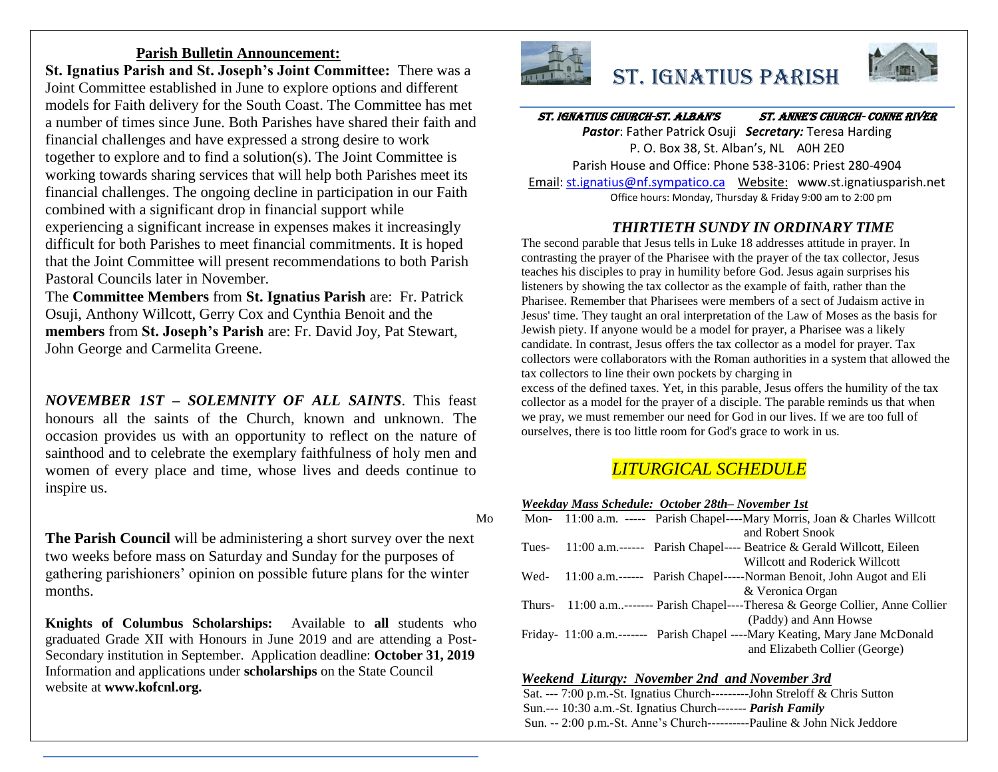### **Parish Bulletin Announcement:**

**St. Ignatius Parish and St. Joseph's Joint Committee:** There was a Joint Committee established in June to explore options and different models for Faith delivery for the South Coast. The Committee has met a number of times since June. Both Parishes have shared their faith and financial challenges and have expressed a strong desire to work together to explore and to find a solution(s). The Joint Committee is working towards sharing services that will help both Parishes meet its financial challenges. The ongoing decline in participation in our Faith combined with a significant drop in financial support while experiencing a significant increase in expenses makes it increasingly difficult for both Parishes to meet financial commitments. It is hoped that the Joint Committee will present recommendations to both Parish Pastoral Councils later in November.

The **Committee Members** from **St. Ignatius Parish** are: Fr. Patrick Osuji, Anthony Willcott, Gerry Cox and Cynthia Benoit and the **members** from **St. Joseph's Parish** are: Fr. David Joy, Pat Stewart, John George and Carmelita Greene.

*NOVEMBER 1ST – SOLEMNITY OF ALL SAINTS*. This feast honours all the saints of the Church, known and unknown. The occasion provides us with an opportunity to reflect on the nature of sainthood and to celebrate the exemplary faithfulness of holy men and women of every place and time, whose lives and deeds continue to inspire us.

**The Parish Council** will be administering a short survey over the next two weeks before mass on Saturday and Sunday for the purposes of gathering parishioners' opinion on possible future plans for the winter months.

**Knights of Columbus Scholarships:** Available to **all** students who graduated Grade XII with Honours in June 2019 and are attending a Post-Secondary institution in September. Application deadline: **October 31, 2019** Information and applications under **scholarships** on the State Council website at **www.kofcnl.org.**



# St. Ignatius Parish



### ST. IGNATIUS CHURCH-ST. ALBAN'S ST. ANNE'S CHURCH- CONNE RIVER

*Pastor*: Father Patrick Osuji *Secretary:* Teresa Harding P. O. Box 38, St. Alban's, NL A0H 2E0 Parish House and Office: Phone 538-3106: Priest 280-4904 Email[: st.ignatius@nf.sympatico.ca](mailto:st.ignatius@nf.sympatico.ca) Website: www.st.ignatiusparish.net Office hours: Monday, Thursday & Friday 9:00 am to 2:00 pm

### *THIRTIETH SUNDY IN ORDINARY TIME*

The second parable that Jesus tells in Luke 18 addresses attitude in prayer. In contrasting the prayer of the Pharisee with the prayer of the tax collector, Jesus teaches his disciples to pray in humility before God. Jesus again surprises his listeners by showing the tax collector as the example of faith, rather than the Pharisee. Remember that Pharisees were members of a sect of Judaism active in Jesus' time. They taught an oral interpretation of the Law of Moses as the basis for Jewish piety. If anyone would be a model for prayer, a Pharisee was a likely candidate. In contrast, Jesus offers the tax collector as a model for prayer. Tax collectors were collaborators with the Roman authorities in a system that allowed the tax collectors to line their own pockets by charging in excess of the defined taxes. Yet, in this parable, Jesus offers the humility of the tax collector as a model for the prayer of a disciple. The parable reminds us that when we pray, we must remember our need for God in our lives. If we are too full of

# *LITURGICAL SCHEDULE*

*Weekday Mass Schedule: October 28th– November 1st*

ourselves, there is too little room for God's grace to work in us.

| Mo |       | Mon- 11:00 a.m. ----- Parish Chapel----Mary Morris, Joan & Charles Willcott     |
|----|-------|---------------------------------------------------------------------------------|
|    |       | and Robert Snook                                                                |
|    | Tues- | 11:00 a.m.------ Parish Chapel---- Beatrice & Gerald Willcott, Eileen           |
|    |       | Willcott and Roderick Willcott                                                  |
|    | Wed-  | 11:00 a.m.------ Parish Chapel-----Norman Benoit, John Augot and Eli            |
|    |       | & Veronica Organ                                                                |
|    |       | Thurs- 11:00 a.m------- Parish Chapel----Theresa & George Collier, Anne Collier |
|    |       | (Paddy) and Ann Howse                                                           |
|    |       | Friday- 11:00 a.m.------- Parish Chapel ----Mary Keating, Mary Jane McDonald    |
|    |       | and Elizabeth Collier (George)                                                  |

#### *Weekend Liturgy: November 2nd and November 3rd*

Sat. --- 7:00 p.m.-St. Ignatius Church---------John Streloff & Chris Sutton Sun.--- 10:30 a.m.-St. Ignatius Church------- *Parish Family* Sun. -- 2:00 p.m.-St. Anne's Church----------Pauline & John Nick Jeddore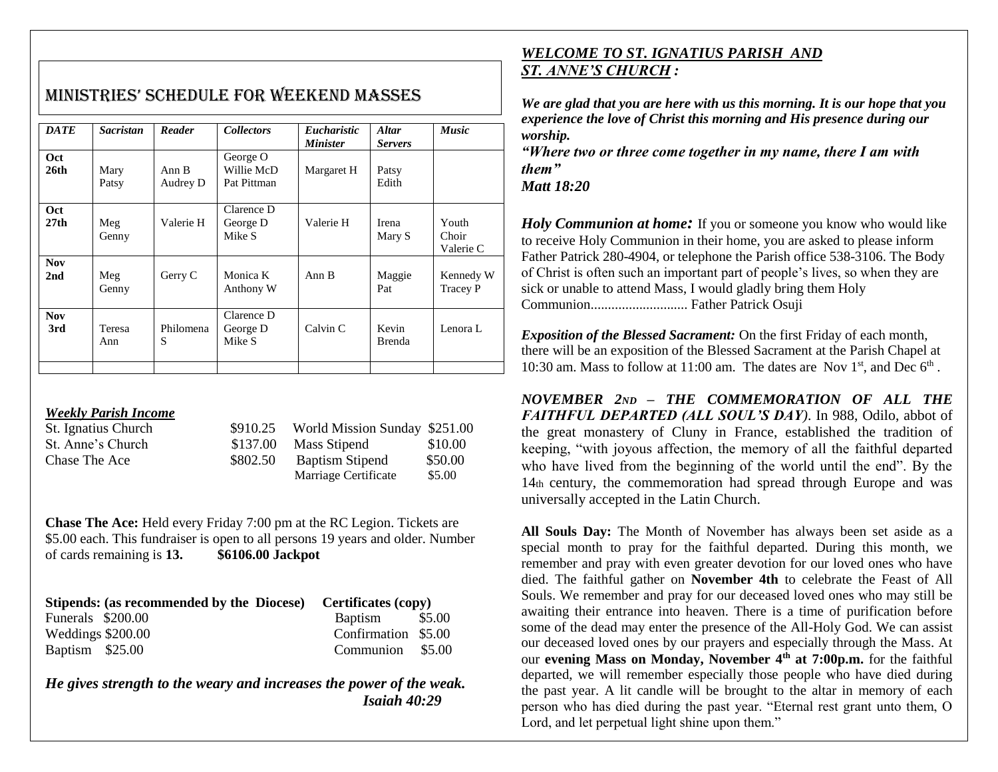| <b>DATE</b>             | <b>Sacristan</b>     | Reader            | <b>Collectors</b>                     | <i>Eucharistic</i><br><i><b>Minister</b></i> | <b>Altar</b><br><b>Servers</b> | <b>Music</b>                 |
|-------------------------|----------------------|-------------------|---------------------------------------|----------------------------------------------|--------------------------------|------------------------------|
| Oct<br>26 <sub>th</sub> | Mary<br>Patsy        | Ann B<br>Audrey D | George O<br>Willie McD<br>Pat Pittman | Margaret H                                   | Patsy<br>Edith                 |                              |
| <b>Oct</b><br>27th      | Meg<br>Genny         | Valerie H         | Clarence D<br>George D<br>Mike S      | Valerie H                                    | Irena<br>Mary S                | Youth<br>Choir<br>Valerie C  |
| <b>Nov</b><br>2nd       | Meg<br>Genny         | Gerry C           | Monica K<br>Anthony W                 | Ann B                                        | Maggie<br>Pat                  | Kennedy W<br><b>Tracey P</b> |
| <b>Nov</b><br>3rd       | <b>Teresa</b><br>Ann | Philomena<br>S    | Clarence D<br>George D<br>Mike S      | Calvin C                                     | Kevin<br><b>Brenda</b>         | Lenora L                     |
|                         |                      |                   |                                       |                                              |                                |                              |

# MiniStrieS' SChedule for Weekend MASSeS

### *Weekly Parish Income*

| St. Ignatius Church |          | $$910.25$ World Mission Sunday $$251.00$ |         |
|---------------------|----------|------------------------------------------|---------|
| St. Anne's Church   | \$137.00 | Mass Stipend                             | \$10.00 |
| Chase The Ace       | \$802.50 | <b>Baptism Stipend</b>                   | \$50.00 |
|                     |          | Marriage Certificate                     | \$5.00  |

**Chase The Ace:** Held every Friday 7:00 pm at the RC Legion. Tickets are \$5.00 each. This fundraiser is open to all persons 19 years and older. Number of cards remaining is **13. \$6106.00 Jackpot**

| Stipends: (as recommended by the Diocese) Certificates (copy) |                     |  |  |
|---------------------------------------------------------------|---------------------|--|--|
| Funerals \$200.00                                             | Baptism \$5.00      |  |  |
| Weddings \$200.00                                             | Confirmation \$5.00 |  |  |
| Baptism \$25.00                                               | Communion \$5.00    |  |  |

*He gives strength to the weary and increases the power of the weak. Isaiah 40:29*

## *WELCOME TO ST. IGNATIUS PARISH AND ST. ANNE'S CHURCH :*

*We are glad that you are here with us this morning. It is our hope that you experience the love of Christ this morning and His presence during our worship.*

*"Where two or three come together in my name, there I am with them"*

*Matt 18:20*

*Holy Communion at home*: If you or someone you know who would like to receive Holy Communion in their home, you are asked to please inform Father Patrick 280-4904, or telephone the Parish office 538-3106. The Body of Christ is often such an important part of people's lives, so when they are sick or unable to attend Mass, I would gladly bring them Holy Communion............................ Father Patrick Osuji

*Exposition of the Blessed Sacrament:* On the first Friday of each month, there will be an exposition of the Blessed Sacrament at the Parish Chapel at 10:30 am. Mass to follow at 11:00 am. The dates are Nov  $1<sup>st</sup>$ , and Dec  $6<sup>th</sup>$ .

*NOVEMBER 2ND – THE COMMEMORATION OF ALL THE FAITHFUL DEPARTED (ALL SOUL'S DAY)*. In 988, Odilo, abbot of the great monastery of Cluny in France, established the tradition of keeping, "with joyous affection, the memory of all the faithful departed who have lived from the beginning of the world until the end". By the 14th century, the commemoration had spread through Europe and was universally accepted in the Latin Church.

**All Souls Day:** The Month of November has always been set aside as a special month to pray for the faithful departed. During this month, we remember and pray with even greater devotion for our loved ones who have died. The faithful gather on **November 4th** to celebrate the Feast of All Souls. We remember and pray for our deceased loved ones who may still be awaiting their entrance into heaven. There is a time of purification before some of the dead may enter the presence of the All-Holy God. We can assist our deceased loved ones by our prayers and especially through the Mass. At our **evening Mass on Monday, November 4th at 7:00p.m.** for the faithful departed, we will remember especially those people who have died during the past year. A lit candle will be brought to the altar in memory of each person who has died during the past year. "Eternal rest grant unto them, O Lord, and let perpetual light shine upon them."